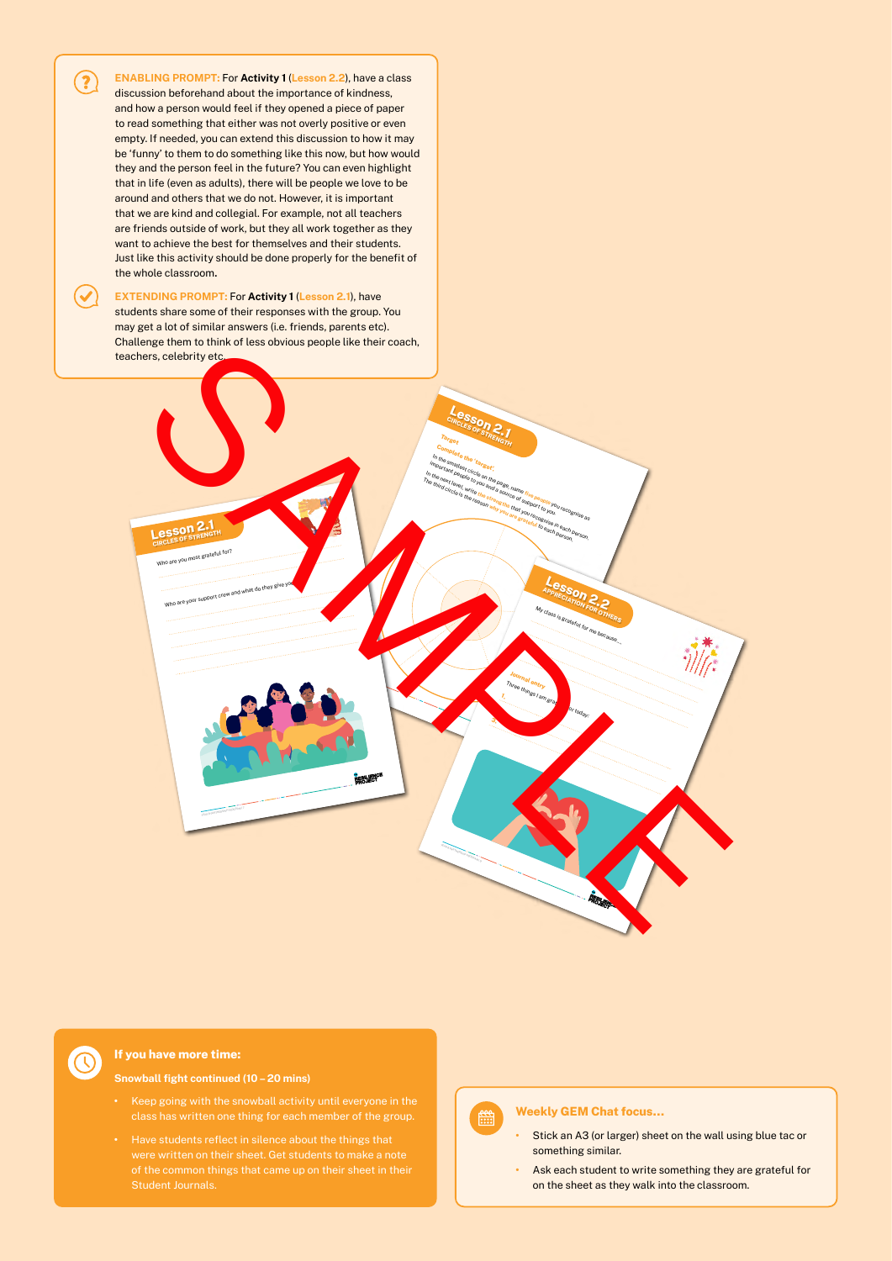

 $\mathcal{C}$ 

### **If you have more time:**

**Snowball fight continued (10 – 20 mins)**

- **•** Keep going with the snowball activity until everyone in the
- **•** Have students reflect in silence about the things that Student Journals.

## 鹽

#### **Weekly GEM Chat focus…**

- **•** Stick an A3 (or larger) sheet on the wall using blue tac or something similar.
- **•** Ask each student to write something they are grateful for on the sheet as they walk into the classroom.